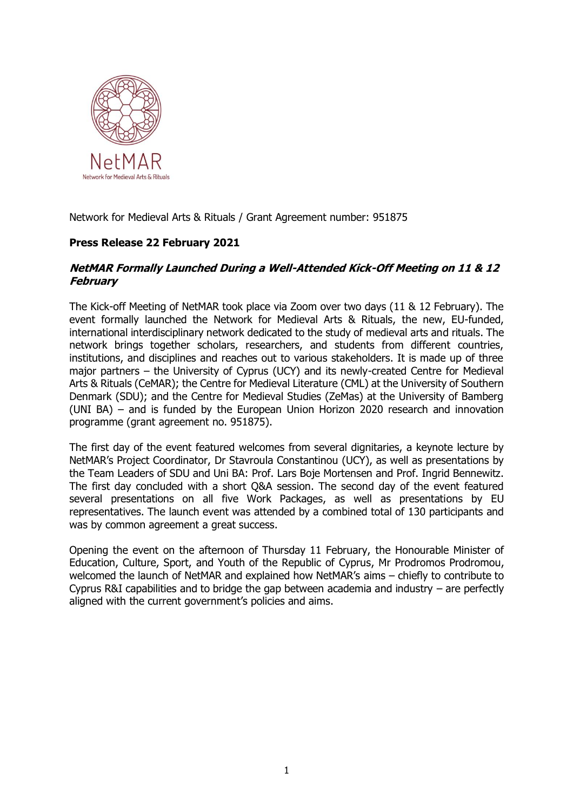

Network for Medieval Arts & Rituals / Grant Agreement number: 951875

## **Press Release 22 February 2021**

## **NetMAR Formally Launched During a Well-Attended Kick-Off Meeting on 11 & 12 February**

The Kick-off Meeting of NetMAR took place via Zoom over two days (11 & 12 February). The event formally launched the Network for Medieval Arts & Rituals, the new, EU-funded, international interdisciplinary network dedicated to the study of medieval arts and rituals. The network brings together scholars, researchers, and students from different countries, institutions, and disciplines and reaches out to various stakeholders. It is made up of three major partners – the University of Cyprus (UCY) and its newly-created Centre for Medieval Arts & Rituals (CeMAR); the Centre for Medieval Literature (CML) at the University of Southern Denmark (SDU); and the Centre for Medieval Studies (ZeMas) at the University of Bamberg (UNI BA) – and is funded by the European Union Horizon 2020 research and innovation programme (grant agreement no. 951875).

The first day of the event featured welcomes from several dignitaries, a keynote lecture by NetMAR's Project Coordinator, Dr Stavroula Constantinou (UCY), as well as presentations by the Team Leaders of SDU and Uni BA: Prof. Lars Boje Mortensen and Prof. Ingrid Bennewitz. The first day concluded with a short Q&A session. The second day of the event featured several presentations on all five Work Packages, as well as presentations by EU representatives. The launch event was attended by a combined total of 130 participants and was by common agreement a great success.

Opening the event on the afternoon of Thursday 11 February, the Honourable Minister of Education, Culture, Sport, and Youth of the Republic of Cyprus, Mr Prodromos Prodromou, welcomed the launch of NetMAR and explained how NetMAR's aims – chiefly to contribute to Cyprus R&I capabilities and to bridge the gap between academia and industry – are perfectly aligned with the current government's policies and aims.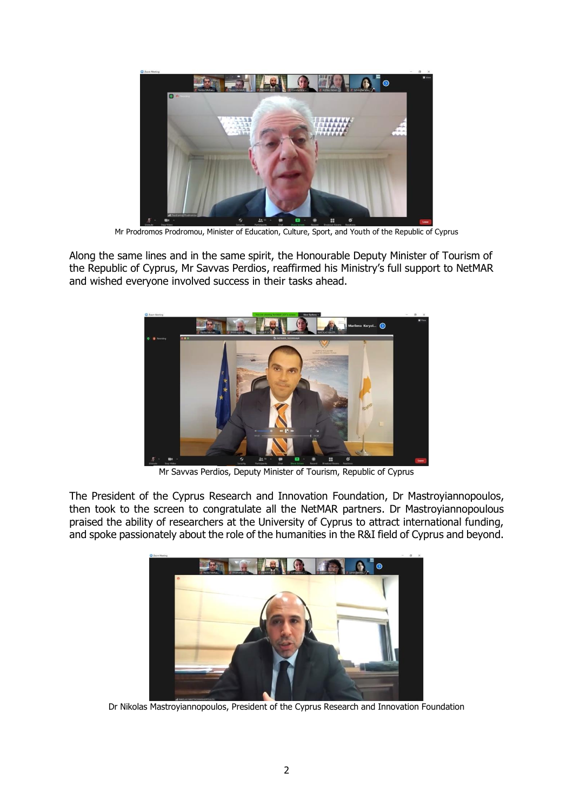

Mr Prodromos Prodromou, Minister of Education, Culture, Sport, and Youth of the Republic of Cyprus

Along the same lines and in the same spirit, the Honourable Deputy Minister of Tourism of the Republic of Cyprus, Mr Savvas Perdios, reaffirmed his Ministry's full support to NetMAR and wished everyone involved success in their tasks ahead.



Mr Savvas Perdios, Deputy Minister of Tourism, Republic of Cyprus

The President of the Cyprus Research and Innovation Foundation, Dr Mastroyiannopoulos, then took to the screen to congratulate all the NetMAR partners. Dr Mastroyiannopoulous praised the ability of researchers at the University of Cyprus to attract international funding, and spoke passionately about the role of the humanities in the R&I field of Cyprus and beyond.



Dr Nikolas Mastroyiannopoulos, President of the Cyprus Research and Innovation Foundation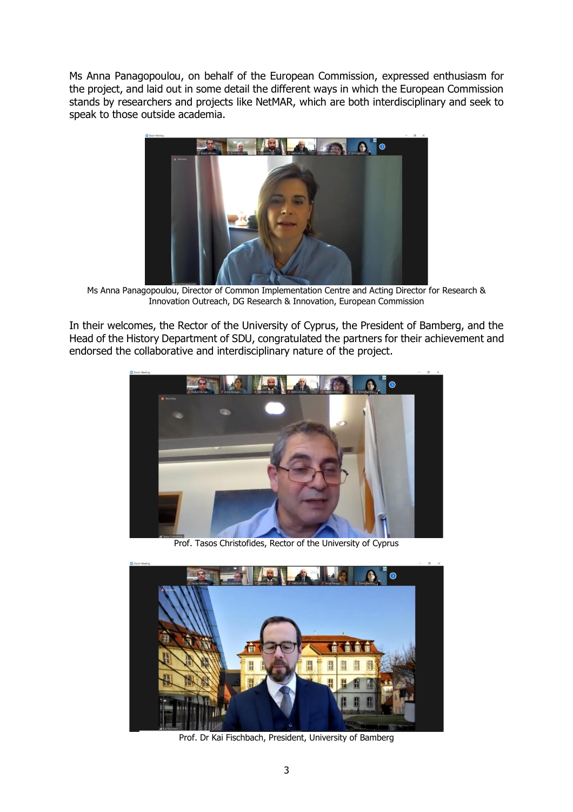Ms Anna Panagopoulou, on behalf of the European Commission, expressed enthusiasm for the project, and laid out in some detail the different ways in which the European Commission stands by researchers and projects like NetMAR, which are both interdisciplinary and seek to speak to those outside academia.



Ms Anna Panagopoulou, Director of Common Implementation Centre and Acting Director for Research & Innovation Outreach, DG Research & Innovation, European Commission

In their welcomes, the Rector of the University of Cyprus, the President of Bamberg, and the Head of the History Department of SDU, congratulated the partners for their achievement and endorsed the collaborative and interdisciplinary nature of the project.



Prof. Tasos Christofides, Rector of the University of Cyprus



Prof. Dr Kai Fischbach, President, University of Bamberg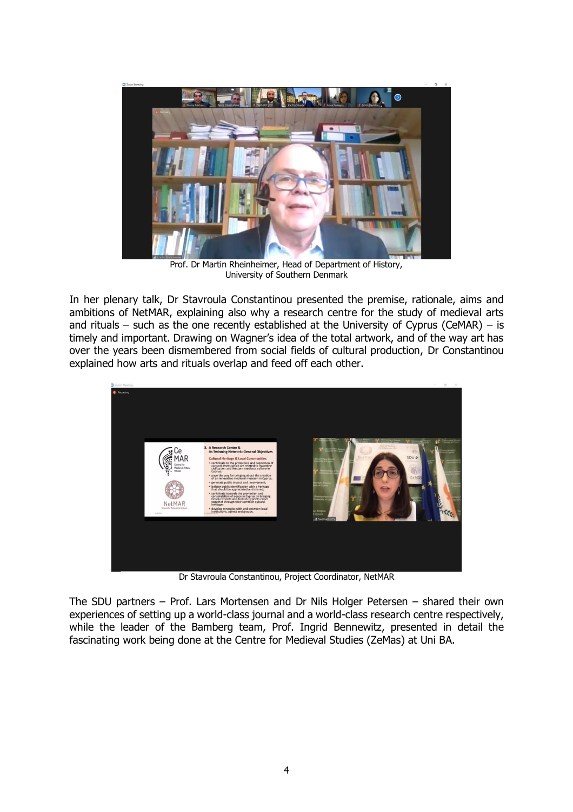

Prof. Dr Martin Rheinheimer, Head of Department of History, University of Southern Denmark

In her plenary talk, Dr Stavroula Constantinou presented the premise, rationale, aims and ambitions of NetMAR, explaining also why a research centre for the study of medieval arts and rituals – such as the one recently established at the University of Cyprus (CeMAR) – is timely and important. Drawing on Wagner's idea of the total artwork, and of the way art has over the years been dismembered from social fields of cultural production, Dr Constantinou explained how arts and rituals overlap and feed off each other.



Dr Stavroula Constantinou, Project Coordinator, NetMAR

The SDU partners – Prof. Lars Mortensen and Dr Nils Holger Petersen – shared their own experiences of setting up a world-class journal and a world-class research centre respectively, while the leader of the Bamberg team, Prof. Ingrid Bennewitz, presented in detail the fascinating work being done at the Centre for Medieval Studies (ZeMas) at Uni BA.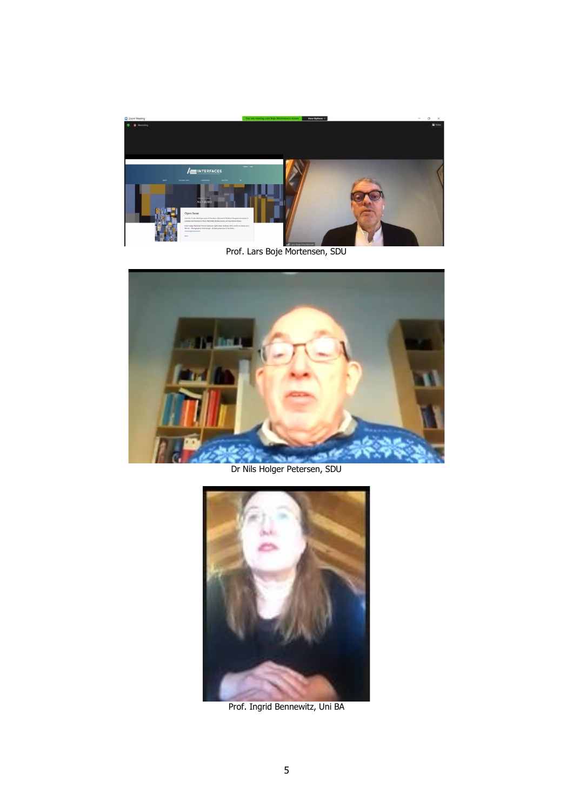

Prof. Lars Boje Mortensen, SDU



Dr Nils Holger Petersen, SDU



Prof. Ingrid Bennewitz, Uni BA